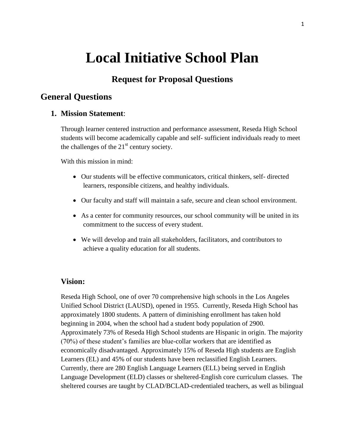# **Local Initiative School Plan**

# **Request for Proposal Questions**

# **General Questions**

# **1. Mission Statement**:

Through learner centered instruction and performance assessment, Reseda High School students will become academically capable and self- sufficient individuals ready to meet the challenges of the  $21<sup>st</sup>$  century society.

With this mission in mind:

- Our students will be effective communicators, critical thinkers, self- directed learners, responsible citizens, and healthy individuals.
- Our faculty and staff will maintain a safe, secure and clean school environment.
- As a center for community resources, our school community will be united in its commitment to the success of every student.
- We will develop and train all stakeholders, facilitators, and contributors to achieve a quality education for all students.

# **Vision:**

Reseda High School, one of over 70 comprehensive high schools in the Los Angeles Unified School District (LAUSD), opened in 1955. Currently, Reseda High School has approximately 1800 students. A pattern of diminishing enrollment has taken hold beginning in 2004, when the school had a student body population of 2900. Approximately 73% of Reseda High School students are Hispanic in origin. The majority (70%) of these student's families are blue-collar workers that are identified as economically disadvantaged. Approximately 15% of Reseda High students are English Learners (EL) and 45% of our students have been reclassified English Learners. Currently, there are 280 English Language Learners (ELL) being served in English Language Development (ELD) classes or sheltered-English core curriculum classes. The sheltered courses are taught by CLAD/BCLAD-credentialed teachers, as well as bilingual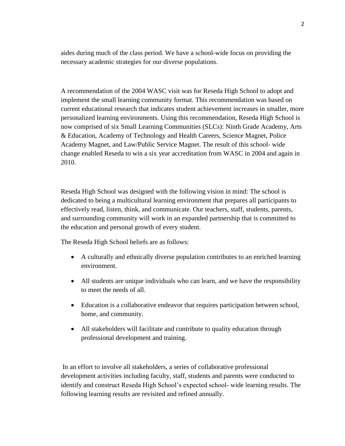aides during much of the class period. We have a school-wide focus on providing the necessary academic strategies for our diverse populations.

A recommendation of the 2004 WASC visit was for Reseda High School to adopt and implement the small learning community format. This recommendation was based on current educational research that indicates student achievement increases in smaller, more personalized learning environments. Using this recommendation, Reseda High School is now comprised of six Small Learning Communities (SLCs): Ninth Grade Academy, Arts & Education, Academy of Technology and Health Careers, Science Magnet, Police Academy Magnet, and Law/Public Service Magnet. The result of this school- wide change enabled Reseda to win a six year accreditation from WASC in 2004 and again in 2010.

Reseda High School was designed with the following vision in mind: The school is dedicated to being a multicultural learning environment that prepares all participants to effectively read, listen, think, and communicate. Our teachers, staff, students, parents, and surrounding community will work in an expanded partnership that is committed to the education and personal growth of every student.

The Reseda High School beliefs are as follows:

- A culturally and ethnically diverse population contributes to an enriched learning environment.
- All students are unique individuals who can learn, and we have the responsibility to meet the needs of all.
- Education is a collaborative endeavor that requires participation between school, home, and community.
- All stakeholders will facilitate and contribute to quality education through professional development and training.

In an effort to involve all stakeholders, a series of collaborative professional development activities including faculty, staff, students and parents were conducted to identify and construct Reseda High School's expected school- wide learning results. The following learning results are revisited and refined annually.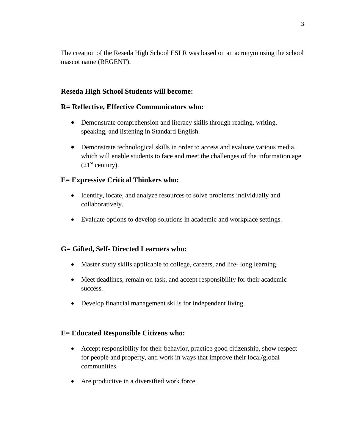The creation of the Reseda High School ESLR was based on an acronym using the school mascot name (REGENT).

# **Reseda High School Students will become:**

# **R= Reflective, Effective Communicators who:**

- Demonstrate comprehension and literacy skills through reading, writing, speaking, and listening in Standard English.
- Demonstrate technological skills in order to access and evaluate various media, which will enable students to face and meet the challenges of the information age  $(21<sup>st</sup> century).$

# **E= Expressive Critical Thinkers who:**

- Identify, locate, and analyze resources to solve problems individually and collaboratively.
- Evaluate options to develop solutions in academic and workplace settings.

# **G= Gifted, Self- Directed Learners who:**

- Master study skills applicable to college, careers, and life- long learning.
- Meet deadlines, remain on task, and accept responsibility for their academic success.
- Develop financial management skills for independent living.

# **E= Educated Responsible Citizens who:**

- Accept responsibility for their behavior, practice good citizenship, show respect for people and property, and work in ways that improve their local/global communities.
- Are productive in a diversified work force.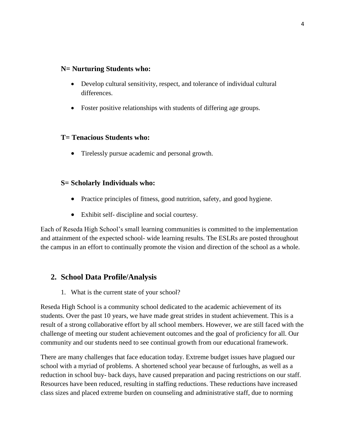# **N= Nurturing Students who:**

- Develop cultural sensitivity, respect, and tolerance of individual cultural differences.
- Foster positive relationships with students of differing age groups.

# **T= Tenacious Students who:**

Tirelessly pursue academic and personal growth.

# **S= Scholarly Individuals who:**

- Practice principles of fitness, good nutrition, safety, and good hygiene.
- Exhibit self- discipline and social courtesy.

Each of Reseda High School's small learning communities is committed to the implementation and attainment of the expected school- wide learning results. The ESLRs are posted throughout the campus in an effort to continually promote the vision and direction of the school as a whole.

# **2. School Data Profile/Analysis**

1. What is the current state of your school?

Reseda High School is a community school dedicated to the academic achievement of its students. Over the past 10 years, we have made great strides in student achievement. This is a result of a strong collaborative effort by all school members. However, we are still faced with the challenge of meeting our student achievement outcomes and the goal of proficiency for all. Our community and our students need to see continual growth from our educational framework.

There are many challenges that face education today. Extreme budget issues have plagued our school with a myriad of problems. A shortened school year because of furloughs, as well as a reduction in school buy- back days, have caused preparation and pacing restrictions on our staff. Resources have been reduced, resulting in staffing reductions. These reductions have increased class sizes and placed extreme burden on counseling and administrative staff, due to norming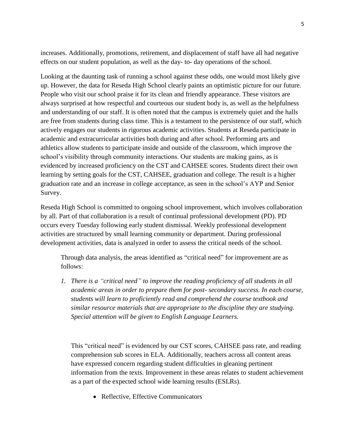increases. Additionally, promotions, retirement, and displacement of staff have all had negative effects on our student population, as well as the day- to- day operations of the school.

Looking at the daunting task of running a school against these odds, one would most likely give up. However, the data for Reseda High School clearly paints an optimistic picture for our future. People who visit our school praise it for its clean and friendly appearance. These visitors are always surprised at how respectful and courteous our student body is, as well as the helpfulness and understanding of our staff. It is often noted that the campus is extremely quiet and the halls are free from students during class time. This is a testament to the persistence of our staff, which actively engages our students in rigorous academic activities. Students at Reseda participate in academic and extracurricular activities both during and after school. Performing arts and athletics allow students to participate inside and outside of the classroom, which improve the school's visibility through community interactions. Our students are making gains, as is evidenced by increased proficiency on the CST and CAHSEE scores. Students direct their own learning by setting goals for the CST, CAHSEE, graduation and college. The result is a higher graduation rate and an increase in college acceptance, as seen in the school's AYP and Senior Survey.

Reseda High School is committed to ongoing school improvement, which involves collaboration by all. Part of that collaboration is a result of continual professional development (PD). PD occurs every Tuesday following early student dismissal. Weekly professional development activities are structured by small learning community or department. During professional development activities, data is analyzed in order to assess the critical needs of the school.

Through data analysis, the areas identified as "critical need" for improvement are as follows:

*1. There is a "critical need" to improve the reading proficiency of all students in all academic areas in order to prepare them for post- secondary success. In each course, students will learn to proficiently read and comprehend the course textbook and similar resource materials that are appropriate to the discipline they are studying. Special attention will be given to English Language Learners.*

This "critical need" is evidenced by our CST scores, CAHSEE pass rate, and reading comprehension sub scores in ELA. Additionally, teachers across all content areas have expressed concern regarding student difficulties in gleaning pertinent information from the texts. Improvement in these areas relates to student achievement as a part of the expected school wide learning results (ESLRs).

• Reflective, Effective Communicators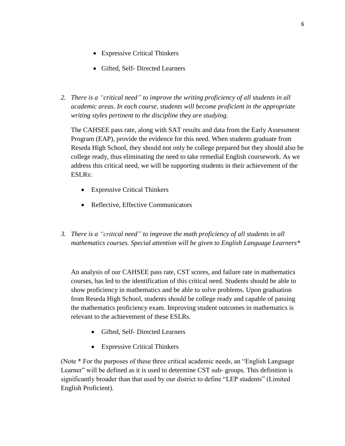- Expressive Critical Thinkers
- Gifted, Self- Directed Learners
- *2. There is a "critical need" to improve the writing proficiency of all students in all academic areas. In each course, students will become proficient in the appropriate writing styles pertinent to the discipline they are studying.*

The CAHSEE pass rate, along with SAT results and data from the Early Assessment Program (EAP), provide the evidence for this need. When students graduate from Reseda High School, they should not only be college prepared but they should also be college ready, thus eliminating the need to take remedial English coursework. As we address this critical need, we will be supporting students in their achievement of the ESLRs:

- Expressive Critical Thinkers
- Reflective, Effective Communicators
- *3. There is a "critical need" to improve the math proficiency of all students in all mathematics courses. Special attention will be given to English Language Learners\**

An analysis of our CAHSEE pass rate, CST scores, and failure rate in mathematics courses, has led to the identification of this critical need. Students should be able to show proficiency in mathematics and be able to solve problems. Upon graduation from Reseda High School, students should be college ready and capable of passing the mathematics proficiency exam. Improving student outcomes in mathematics is relevant to the achievement of these ESLRs.

- Gifted, Self- Directed Learners
- Expressive Critical Thinkers

(Note \* For the purposes of these three critical academic needs, an "English Language Learner" will be defined as it is used to determine CST sub-groups. This definition is significantly broader than that used by our district to define "LEP students" (Limited English Proficient).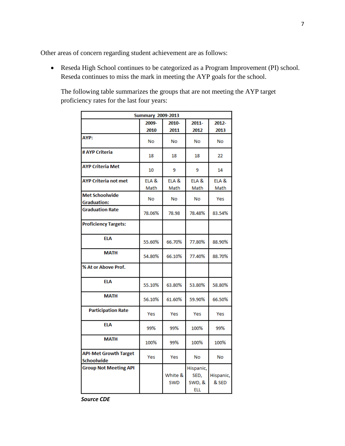Other areas of concern regarding student achievement are as follows:

 Reseda High School continues to be categorized as a Program Improvement (PI) school. Reseda continues to miss the mark in meeting the AYP goals for the school.

The following table summarizes the groups that are not meeting the AYP target proficiency rates for the last four years:

| <b>Summary 2009-2013</b>                    |               |                       |                                           |                    |  |  |
|---------------------------------------------|---------------|-----------------------|-------------------------------------------|--------------------|--|--|
|                                             | 2009-<br>2010 | 2010-<br>2011         | $2011 -$<br>2012                          | 2012-<br>2013      |  |  |
| AYP:                                        | <b>No</b>     | <b>No</b>             | <b>No</b>                                 | <b>No</b>          |  |  |
| # AYP Criteria                              | 18            | 18                    | 18                                        | 22                 |  |  |
| <b>AYP Criteria Met</b>                     | 10            | 9                     | 9                                         | 14                 |  |  |
| <b>AYP Criteria not met</b>                 | ELA &<br>Math | ELA &<br>Math         | ELA &<br>Math                             | ELA &<br>Math      |  |  |
| <b>Met Schoolwide</b><br><b>Graduation:</b> | No            | No                    | No                                        | Yes                |  |  |
| <b>Graduation Rate</b>                      | 78.06%        | 78.98                 | 78.48%                                    | 83.54%             |  |  |
| <b>Proficiency Targets:</b>                 |               |                       |                                           |                    |  |  |
| <b>ELA</b>                                  | 55.60%        | 66.70%                | 77.80%                                    | 88.90%             |  |  |
| <b>MATH</b>                                 | 54.80%        | 66.10%                | 77.40%                                    | 88.70%             |  |  |
| % At or Above Prof.                         |               |                       |                                           |                    |  |  |
| <b>ELA</b>                                  | 55.10%        | 63.80%                | 53.80%                                    | 58.80%             |  |  |
| <b>MATH</b>                                 | 56.10%        | 61.60%                | 59.90%                                    | 66.50%             |  |  |
| <b>Participation Rate</b>                   | Yes           | Yes                   | Yes                                       | Yes                |  |  |
| <b>FIA</b>                                  | 99%           | 99%                   | 100%                                      | 99%                |  |  |
| <b>MATH</b>                                 | 100%          | 99%                   | 100%                                      | 100%               |  |  |
| <b>API-Met Growth Target</b><br>Schoolwide  | Yes           | Yes                   | No                                        | No                 |  |  |
| <b>Group Not Meeting API</b>                |               | White &<br><b>SWD</b> | Hispanic,<br>SED,<br>SWD, &<br><b>ELL</b> | Hispanic,<br>& SED |  |  |

*Source CDE*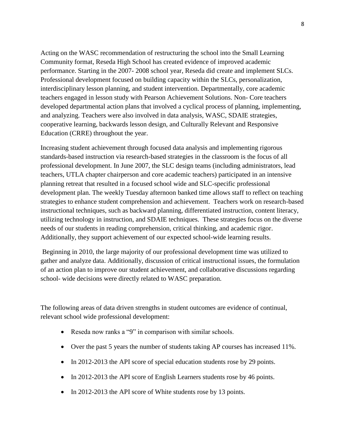Acting on the WASC recommendation of restructuring the school into the Small Learning Community format, Reseda High School has created evidence of improved academic performance. Starting in the 2007- 2008 school year, Reseda did create and implement SLCs. Professional development focused on building capacity within the SLCs, personalization, interdisciplinary lesson planning, and student intervention. Departmentally, core academic teachers engaged in lesson study with Pearson Achievement Solutions. Non- Core teachers developed departmental action plans that involved a cyclical process of planning, implementing, and analyzing. Teachers were also involved in data analysis, WASC, SDAIE strategies, cooperative learning, backwards lesson design, and Culturally Relevant and Responsive Education (CRRE) throughout the year.

Increasing student achievement through focused data analysis and implementing rigorous standards-based instruction via research-based strategies in the classroom is the focus of all professional development. In June 2007, the SLC design teams (including administrators, lead teachers, UTLA chapter chairperson and core academic teachers) participated in an intensive planning retreat that resulted in a focused school wide and SLC-specific professional development plan. The weekly Tuesday afternoon banked time allows staff to reflect on teaching strategies to enhance student comprehension and achievement. Teachers work on research-based instructional techniques, such as backward planning, differentiated instruction, content literacy, utilizing technology in instruction, and SDAIE techniques. These strategies focus on the diverse needs of our students in reading comprehension, critical thinking, and academic rigor. Additionally, they support achievement of our expected school-wide learning results.

Beginning in 2010, the large majority of our professional development time was utilized to gather and analyze data. Additionally, discussion of critical instructional issues, the formulation of an action plan to improve our student achievement, and collaborative discussions regarding school- wide decisions were directly related to WASC preparation.

The following areas of data driven strengths in student outcomes are evidence of continual, relevant school wide professional development:

- Reseda now ranks a "9" in comparison with similar schools.
- Over the past 5 years the number of students taking AP courses has increased 11%.
- In 2012-2013 the API score of special education students rose by 29 points.
- In 2012-2013 the API score of English Learners students rose by 46 points.
- In 2012-2013 the API score of White students rose by 13 points.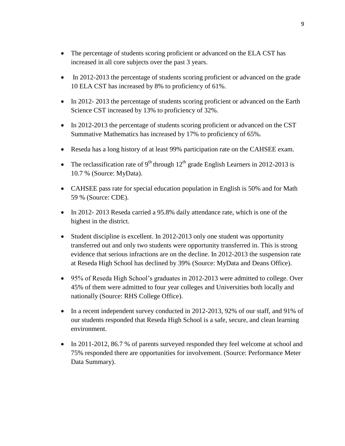- The percentage of students scoring proficient or advanced on the ELA CST has increased in all core subjects over the past 3 years.
- In 2012-2013 the percentage of students scoring proficient or advanced on the grade 10 ELA CST has increased by 8% to proficiency of 61%.
- In 2012-2013 the percentage of students scoring proficient or advanced on the Earth Science CST increased by 13% to proficiency of 32%.
- In 2012-2013 the percentage of students scoring proficient or advanced on the CST Summative Mathematics has increased by 17% to proficiency of 65%.
- Reseda has a long history of at least 99% participation rate on the CAHSEE exam.
- The reclassification rate of 9<sup>th</sup> through  $12<sup>th</sup>$  grade English Learners in 2012-2013 is 10.7 % (Source: MyData).
- CAHSEE pass rate for special education population in English is 50% and for Math 59 % (Source: CDE).
- In 2012- 2013 Reseda carried a 95.8% daily attendance rate, which is one of the highest in the district.
- Student discipline is excellent. In 2012-2013 only one student was opportunity transferred out and only two students were opportunity transferred in. This is strong evidence that serious infractions are on the decline. In 2012-2013 the suspension rate at Reseda High School has declined by 39% (Source: MyData and Deans Office).
- 95% of Reseda High School's graduates in 2012-2013 were admitted to college. Over 45% of them were admitted to four year colleges and Universities both locally and nationally (Source: RHS College Office).
- In a recent independent survey conducted in 2012-2013, 92% of our staff, and 91% of our students responded that Reseda High School is a safe, secure, and clean learning environment.
- In 2011-2012, 86.7 % of parents surveyed responded they feel welcome at school and 75% responded there are opportunities for involvement. (Source: Performance Meter Data Summary).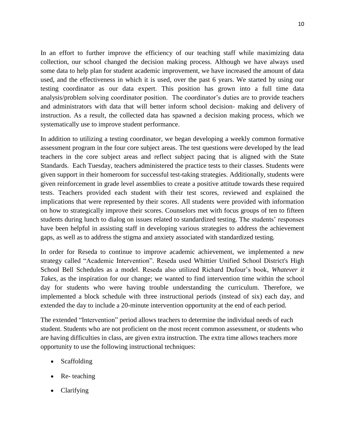In an effort to further improve the efficiency of our teaching staff while maximizing data collection, our school changed the decision making process. Although we have always used some data to help plan for student academic improvement, we have increased the amount of data used, and the effectiveness in which it is used, over the past 6 years. We started by using our testing coordinator as our data expert. This position has grown into a full time data analysis/problem solving coordinator position. The coordinator's duties are to provide teachers and administrators with data that will better inform school decision- making and delivery of instruction. As a result, the collected data has spawned a decision making process, which we systematically use to improve student performance.

In addition to utilizing a testing coordinator, we began developing a weekly common formative assessment program in the four core subject areas. The test questions were developed by the lead teachers in the core subject areas and reflect subject pacing that is aligned with the State Standards. Each Tuesday, teachers administered the practice tests to their classes. Students were given support in their homeroom for successful test-taking strategies. Additionally, students were given reinforcement in grade level assemblies to create a positive attitude towards these required tests. Teachers provided each student with their test scores, reviewed and explained the implications that were represented by their scores. All students were provided with information on how to strategically improve their scores. Counselors met with focus groups of ten to fifteen students during lunch to dialog on issues related to standardized testing. The students' responses have been helpful in assisting staff in developing various strategies to address the achievement gaps, as well as to address the stigma and anxiety associated with standardized testing.

In order for Reseda to continue to improve academic achievement, we implemented a new strategy called "Academic Intervention". Reseda used Whittier Unified School District's High School Bell Schedules as a model. Reseda also utilized Richard Dufour's book, *Whatever it Takes,* as the inspiration for our change; we wanted to find intervention time within the school day for students who were having trouble understanding the curriculum. Therefore, we implemented a block schedule with three instructional periods (instead of six) each day, and extended the day to include a 20-minute intervention opportunity at the end of each period.

The extended "Intervention" period allows teachers to determine the individual needs of each student. Students who are not proficient on the most recent common assessment, or students who are having difficulties in class, are given extra instruction. The extra time allows teachers more opportunity to use the following instructional techniques:

- Scaffolding
- Re- teaching
- Clarifying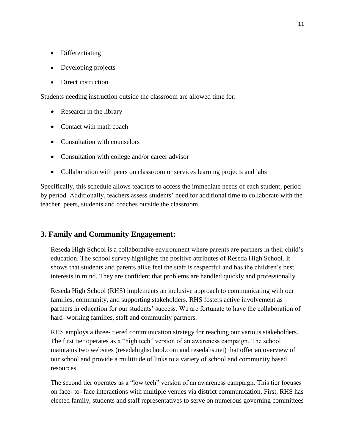- Differentiating
- Developing projects
- Direct instruction

Students needing instruction outside the classroom are allowed time for:

- Research in the library
- Contact with math coach
- Consultation with counselors
- Consultation with college and/or career advisor
- Collaboration with peers on classroom or services learning projects and labs

Specifically, this schedule allows teachers to access the immediate needs of each student, period by period. Additionally, teachers assess students' need for additional time to collaborate with the teacher, peers, students and coaches outside the classroom.

# **3. Family and Community Engagement:**

Reseda High School is a collaborative environment where parents are partners in their child's education. The school survey highlights the positive attributes of Reseda High School. It shows that students and parents alike feel the staff is respectful and has the children's best interests in mind. They are confident that problems are handled quickly and professionally.

Reseda High School (RHS) implements an inclusive approach to communicating with our families, community, and supporting stakeholders. RHS fosters active involvement as partners in education for our students' success. We are fortunate to have the collaboration of hard- working families, staff and community partners.

RHS employs a three- tiered communication strategy for reaching our various stakeholders. The first tier operates as a "high tech" version of an awareness campaign. The school maintains two websites (resedahighschool.com and resedahs.net) that offer an overview of our school and provide a multitude of links to a variety of school and community based resources.

The second tier operates as a "low tech" version of an awareness campaign. This tier focuses on face- to- face interactions with multiple venues via district communication. First, RHS has elected family, students and staff representatives to serve on numerous governing committees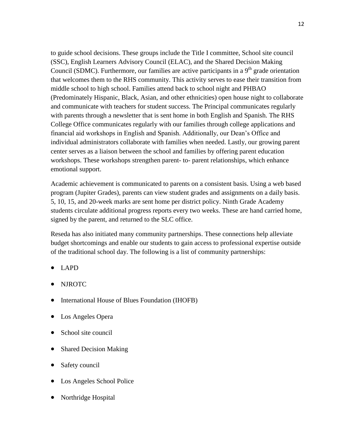to guide school decisions. These groups include the Title I committee, School site council (SSC), English Learners Advisory Council (ELAC), and the Shared Decision Making Council (SDMC). Furthermore, our families are active participants in a  $9<sup>th</sup>$  grade orientation that welcomes them to the RHS community. This activity serves to ease their transition from middle school to high school. Families attend back to school night and PHBAO (Predominately Hispanic, Black, Asian, and other ethnicities) open house night to collaborate and communicate with teachers for student success. The Principal communicates regularly with parents through a newsletter that is sent home in both English and Spanish. The RHS College Office communicates regularly with our families through college applications and financial aid workshops in English and Spanish. Additionally, our Dean's Office and individual administrators collaborate with families when needed. Lastly, our growing parent center serves as a liaison between the school and families by offering parent education workshops. These workshops strengthen parent- to- parent relationships, which enhance emotional support.

Academic achievement is communicated to parents on a consistent basis. Using a web based program (Jupiter Grades), parents can view student grades and assignments on a daily basis. 5, 10, 15, and 20-week marks are sent home per district policy. Ninth Grade Academy students circulate additional progress reports every two weeks. These are hand carried home, signed by the parent, and returned to the SLC office.

Reseda has also initiated many community partnerships. These connections help alleviate budget shortcomings and enable our students to gain access to professional expertise outside of the traditional school day. The following is a list of community partnerships:

- LAPD
- NJROTC
- International House of Blues Foundation (IHOFB)
- Los Angeles Opera
- School site council
- Shared Decision Making
- Safety council
- Los Angeles School Police
- Northridge Hospital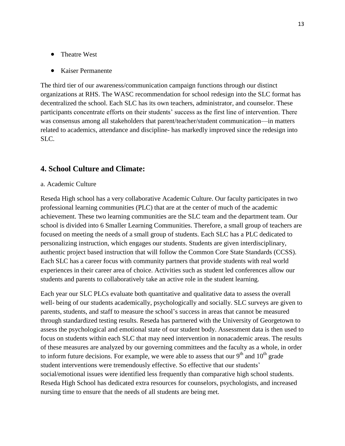- Theatre West
- Kaiser Permanente

The third tier of our awareness/communication campaign functions through our distinct organizations at RHS. The WASC recommendation for school redesign into the SLC format has decentralized the school. Each SLC has its own teachers, administrator, and counselor. These participants concentrate efforts on their students' success as the first line of intervention. There was consensus among all stakeholders that parent/teacher/student communication—in matters related to academics, attendance and discipline- has markedly improved since the redesign into SLC.

## **4. School Culture and Climate:**

#### a. Academic Culture

Reseda High school has a very collaborative Academic Culture. Our faculty participates in two professional learning communities (PLC) that are at the center of much of the academic achievement. These two learning communities are the SLC team and the department team. Our school is divided into 6 Smaller Learning Communities. Therefore, a small group of teachers are focused on meeting the needs of a small group of students. Each SLC has a PLC dedicated to personalizing instruction, which engages our students. Students are given interdisciplinary, authentic project based instruction that will follow the Common Core State Standards (CCSS). Each SLC has a career focus with community partners that provide students with real world experiences in their career area of choice. Activities such as student led conferences allow our students and parents to collaboratively take an active role in the student learning.

Each year our SLC PLCs evaluate both quantitative and qualitative data to assess the overall well- being of our students academically, psychologically and socially. SLC surveys are given to parents, students, and staff to measure the school's success in areas that cannot be measured through standardized testing results. Reseda has partnered with the University of Georgetown to assess the psychological and emotional state of our student body. Assessment data is then used to focus on students within each SLC that may need intervention in nonacademic areas. The results of these measures are analyzed by our governing committees and the faculty as a whole, in order to inform future decisions. For example, we were able to assess that our  $9<sup>th</sup>$  and  $10<sup>th</sup>$  grade student interventions were tremendously effective. So effective that our students' social/emotional issues were identified less frequently than comparative high school students. Reseda High School has dedicated extra resources for counselors, psychologists, and increased nursing time to ensure that the needs of all students are being met.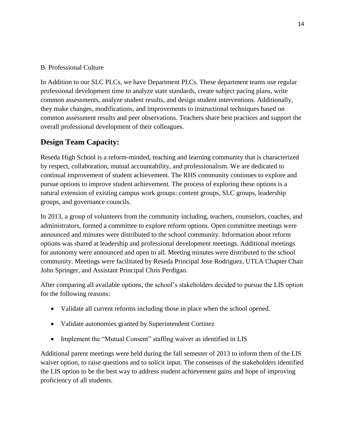# B. Professional Culture

In Addition to our SLC PLCs, we have Department PLCs. These department teams use regular professional development time to analyze state standards, create subject pacing plans, write common assessments, analyze student results, and design student interventions. Additionally, they make changes, modifications, and improvements to instructional techniques based on common assessment results and peer observations. Teachers share best practices and support the overall professional development of their colleagues.

# **Design Team Capacity:**

Reseda High School is a reform-minded, teaching and learning community that is characterized by respect, collaboration, mutual accountability, and professionalism. We are dedicated to continual improvement of student achievement. The RHS community continues to explore and pursue options to improve student achievement. The process of exploring these options is a natural extension of existing campus work groups: content groups, SLC groups, leadership groups, and governance councils.

In 2013, a group of volunteers from the community including, teachers, counselors, coaches, and administrators, formed a committee to explore reform options. Open committee meetings were announced and minutes were distributed to the school community. Information about reform options was shared at leadership and professional development meetings. Additional meetings for autonomy were announced and open to all. Meeting minutes were distributed to the school community. Meetings were facilitated by Reseda Principal Jose Rodriguez, UTLA Chapter Chair John Springer, and Assistant Principal Chris Perdigao.

After comparing all available options, the school's stakeholders decided to pursue the LIS option for the following reasons:

- Validate all current reforms including those in place when the school opened.
- Validate autonomies granted by Superintendent Cortinez
- Implement the "Mutual Consent" staffing waiver as identified in LIS

Additional parent meetings were held during the fall semester of 2013 to inform them of the LIS waiver option, to raise questions and to solicit input. The consensus of the stakeholders identified the LIS option to be the best way to address student achievement gains and hope of improving proficiency of all students.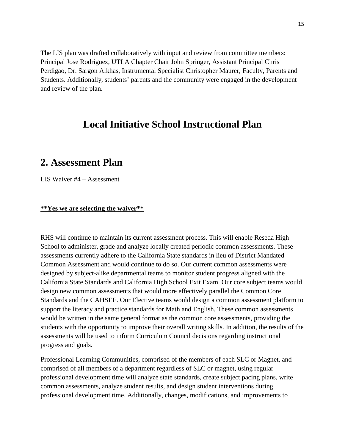The LIS plan was drafted collaboratively with input and review from committee members: Principal Jose Rodriguez, UTLA Chapter Chair John Springer, Assistant Principal Chris Perdigao, Dr. Sargon Alkhas, Instrumental Specialist Christopher Maurer, Faculty, Parents and Students. Additionally, students' parents and the community were engaged in the development and review of the plan.

# **Local Initiative School Instructional Plan**

# **2. Assessment Plan**

LIS Waiver #4 – Assessment

#### **\*\*Yes we are selecting the waiver\*\***

RHS will continue to maintain its current assessment process. This will enable Reseda High School to administer, grade and analyze locally created periodic common assessments. These assessments currently adhere to the California State standards in lieu of District Mandated Common Assessment and would continue to do so. Our current common assessments were designed by subject-alike departmental teams to monitor student progress aligned with the California State Standards and California High School Exit Exam. Our core subject teams would design new common assessments that would more effectively parallel the Common Core Standards and the CAHSEE. Our Elective teams would design a common assessment platform to support the literacy and practice standards for Math and English. These common assessments would be written in the same general format as the common core assessments, providing the students with the opportunity to improve their overall writing skills. In addition, the results of the assessments will be used to inform Curriculum Council decisions regarding instructional progress and goals.

Professional Learning Communities, comprised of the members of each SLC or Magnet, and comprised of all members of a department regardless of SLC or magnet, using regular professional development time will analyze state standards, create subject pacing plans, write common assessments, analyze student results, and design student interventions during professional development time. Additionally, changes, modifications, and improvements to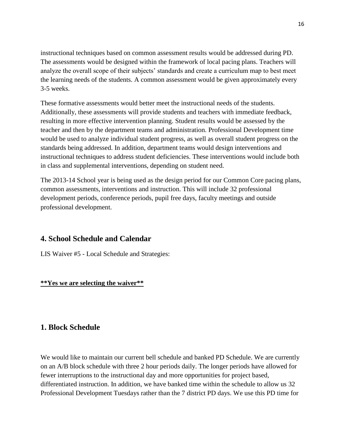instructional techniques based on common assessment results would be addressed during PD. The assessments would be designed within the framework of local pacing plans. Teachers will analyze the overall scope of their subjects' standards and create a curriculum map to best meet the learning needs of the students. A common assessment would be given approximately every 3-5 weeks.

These formative assessments would better meet the instructional needs of the students. Additionally, these assessments will provide students and teachers with immediate feedback, resulting in more effective intervention planning. Student results would be assessed by the teacher and then by the department teams and administration. Professional Development time would be used to analyze individual student progress, as well as overall student progress on the standards being addressed. In addition, department teams would design interventions and instructional techniques to address student deficiencies. These interventions would include both in class and supplemental interventions, depending on student need.

The 2013-14 School year is being used as the design period for our Common Core pacing plans, common assessments, interventions and instruction. This will include 32 professional development periods, conference periods, pupil free days, faculty meetings and outside professional development.

# **4. School Schedule and Calendar**

LIS Waiver #5 - Local Schedule and Strategies:

# **\*\*Yes we are selecting the waiver\*\***

# **1. Block Schedule**

We would like to maintain our current bell schedule and banked PD Schedule. We are currently on an A/B block schedule with three 2 hour periods daily. The longer periods have allowed for fewer interruptions to the instructional day and more opportunities for project based, differentiated instruction. In addition, we have banked time within the schedule to allow us 32 Professional Development Tuesdays rather than the 7 district PD days. We use this PD time for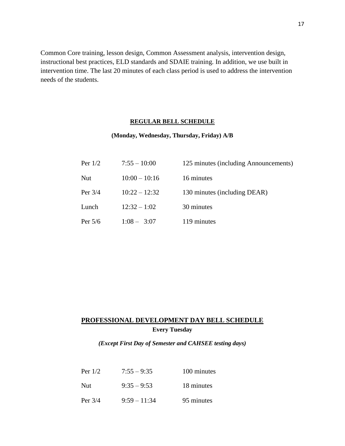Common Core training, lesson design, Common Assessment analysis, intervention design, instructional best practices, ELD standards and SDAIE training. In addition, we use built in intervention time. The last 20 minutes of each class period is used to address the intervention needs of the students.

#### **REGULAR BELL SCHEDULE**

#### **(Monday, Wednesday, Thursday, Friday) A/B**

| Per $1/2$  | $7:55 - 10:00$  | 125 minutes (including Announcements) |
|------------|-----------------|---------------------------------------|
| <b>Nut</b> | $10:00 - 10:16$ | 16 minutes                            |
| Per $3/4$  | $10:22 - 12:32$ | 130 minutes (including DEAR)          |
| Lunch      | $12:32 - 1:02$  | 30 minutes                            |
| Per $5/6$  | $1:08 - 3:07$   | 119 minutes                           |

# **PROFESSIONAL DEVELOPMENT DAY BELL SCHEDULE Every Tuesday**

*(Except First Day of Semester and CAHSEE testing days)*

| Per $1/2$  | $7:55 - 9:35$  | 100 minutes |
|------------|----------------|-------------|
| <b>Nut</b> | $9:35-9:53$    | 18 minutes  |
| Per $3/4$  | $9:59 - 11:34$ | 95 minutes  |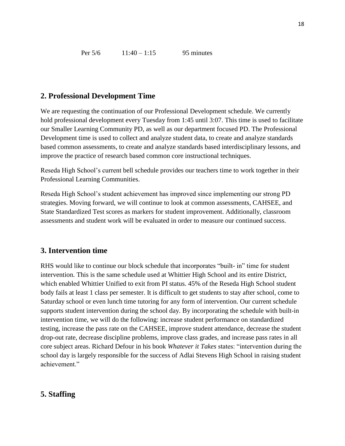# **2. Professional Development Time**

We are requesting the continuation of our Professional Development schedule. We currently hold professional development every Tuesday from 1:45 until 3:07. This time is used to facilitate our Smaller Learning Community PD, as well as our department focused PD. The Professional Development time is used to collect and analyze student data, to create and analyze standards based common assessments, to create and analyze standards based interdisciplinary lessons, and improve the practice of research based common core instructional techniques.

Reseda High School's current bell schedule provides our teachers time to work together in their Professional Learning Communities.

Reseda High School's student achievement has improved since implementing our strong PD strategies. Moving forward, we will continue to look at common assessments, CAHSEE, and State Standardized Test scores as markers for student improvement. Additionally, classroom assessments and student work will be evaluated in order to measure our continued success.

# **3. Intervention time**

RHS would like to continue our block schedule that incorporates "built- in" time for student intervention. This is the same schedule used at Whittier High School and its entire District, which enabled Whittier Unified to exit from PI status. 45% of the Reseda High School student body fails at least 1 class per semester. It is difficult to get students to stay after school, come to Saturday school or even lunch time tutoring for any form of intervention. Our current schedule supports student intervention during the school day. By incorporating the schedule with built-in intervention time, we will do the following: increase student performance on standardized testing, increase the pass rate on the CAHSEE, improve student attendance, decrease the student drop-out rate, decrease discipline problems, improve class grades, and increase pass rates in all core subject areas. Richard Defour in his book *Whatever it Takes* states: "intervention during the school day is largely responsible for the success of Adlai Stevens High School in raising student achievement."

# **5. Staffing**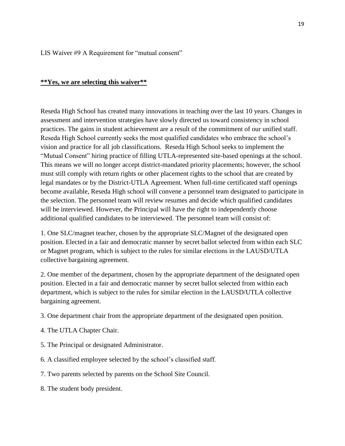LIS Waiver #9 A Requirement for "mutual consent"

#### **\*\*Yes, we are selecting this waiver\*\***

Reseda High School has created many innovations in teaching over the last 10 years. Changes in assessment and intervention strategies have slowly directed us toward consistency in school practices. The gains in student achievement are a result of the commitment of our unified staff. Reseda High School currently seeks the most qualified candidates who embrace the school's vision and practice for all job classifications. Reseda High School seeks to implement the "Mutual Consent" hiring practice of filling UTLA-represented site-based openings at the school. This means we will no longer accept district-mandated priority placements; however, the school must still comply with return rights or other placement rights to the school that are created by legal mandates or by the District-UTLA Agreement. When full-time certificated staff openings become available, Reseda High school will convene a personnel team designated to participate in the selection. The personnel team will review resumes and decide which qualified candidates will be interviewed. However, the Principal will have the right to independently choose additional qualified candidates to be interviewed. The personnel team will consist of:

1. One SLC/magnet teacher, chosen by the appropriate SLC/Magnet of the designated open position. Elected in a fair and democratic manner by secret ballot selected from within each SLC or Magnet program, which is subject to the rules for similar elections in the LAUSD/UTLA collective bargaining agreement.

2. One member of the department, chosen by the appropriate department of the designated open position. Elected in a fair and democratic manner by secret ballot selected from within each department, which is subject to the rules for similar election in the LAUSD/UTLA collective bargaining agreement.

- 3. One department chair from the appropriate department of the designated open position.
- 4. The UTLA Chapter Chair.
- 5. The Principal or designated Administrator.
- 6. A classified employee selected by the school's classified staff.
- 7. Two parents selected by parents on the School Site Council.
- 8. The student body president.